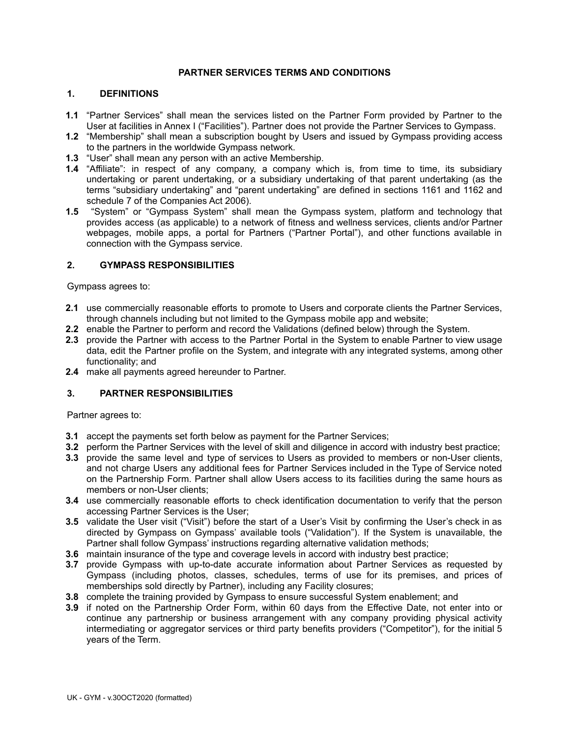#### **PARTNER SERVICES TERMS AND CONDITIONS**

#### **1. DEFINITIONS**

- **1.1** "Partner Services" shall mean the services listed on the Partner Form provided by Partner to the User at facilities in Annex I ("Facilities"). Partner does not provide the Partner Services to Gympass.
- **1.2** "Membership" shall mean a subscription bought by Users and issued by Gympass providing access to the partners in the worldwide Gympass network.
- **1.3** "User" shall mean any person with an active Membership.
- **1.4** "Affiliate": in respect of any company, a company which is, from time to time, its subsidiary undertaking or parent undertaking, or a subsidiary undertaking of that parent undertaking (as the terms "subsidiary undertaking" and "parent undertaking" are defined in sections 1161 and 1162 and schedule 7 of the Companies Act 2006).
- **1.5** "System" or "Gympass System" shall mean the Gympass system, platform and technology that provides access (as applicable) to a network of fitness and wellness services, clients and/or Partner webpages, mobile apps, a portal for Partners ("Partner Portal"), and other functions available in connection with the Gympass service.

#### **2. GYMPASS RESPONSIBILITIES**

Gympass agrees to:

- **2.1** use commercially reasonable efforts to promote to Users and corporate clients the Partner Services, through channels including but not limited to the Gympass mobile app and website;
- **2.2** enable the Partner to perform and record the Validations (defined below) through the System.
- **2.3** provide the Partner with access to the Partner Portal in the System to enable Partner to view usage data, edit the Partner profile on the System, and integrate with any integrated systems, among other functionality; and
- **2.4** make all payments agreed hereunder to Partner.

## **3. PARTNER RESPONSIBILITIES**

Partner agrees to:

- **3.1** accept the payments set forth below as payment for the Partner Services;
- **3.2** perform the Partner Services with the level of skill and diligence in accord with industry best practice;
- **3.3** provide the same level and type of services to Users as provided to members or non-User clients, and not charge Users any additional fees for Partner Services included in the Type of Service noted on the Partnership Form. Partner shall allow Users access to its facilities during the same hours as members or non-User clients;
- **3.4** use commercially reasonable efforts to check identification documentation to verify that the person accessing Partner Services is the User;
- **3.5** validate the User visit ("Visit") before the start of a User's Visit by confirming the User's check in as directed by Gympass on Gympass' available tools ("Validation"). If the System is unavailable, the Partner shall follow Gympass' instructions regarding alternative validation methods;
- **3.6** maintain insurance of the type and coverage levels in accord with industry best practice;
- **3.7** provide Gympass with up-to-date accurate information about Partner Services as requested by Gympass (including photos, classes, schedules, terms of use for its premises, and prices of memberships sold directly by Partner), including any Facility closures;
- **3.8** complete the training provided by Gympass to ensure successful System enablement; and
- **3.9** if noted on the Partnership Order Form, within 60 days from the Effective Date, not enter into or continue any partnership or business arrangement with any company providing physical activity intermediating or aggregator services or third party benefits providers ("Competitor"), for the initial 5 years of the Term.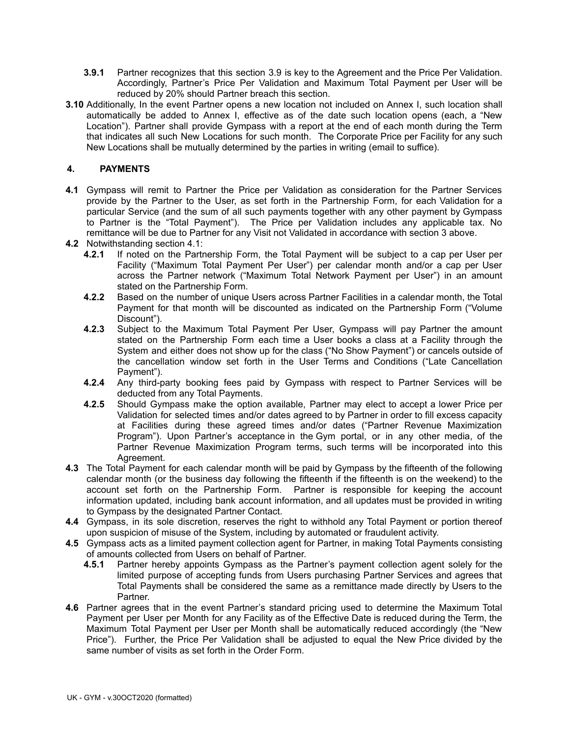- **3.9.1** Partner recognizes that this section 3.9 is key to the Agreement and the Price Per Validation. Accordingly, Partner's Price Per Validation and Maximum Total Payment per User will be reduced by 20% should Partner breach this section.
- **3.10** Additionally, In the event Partner opens a new location not included on Annex I, such location shall automatically be added to Annex I, effective as of the date such location opens (each, a "New Location"). Partner shall provide Gympass with a report at the end of each month during the Term that indicates all such New Locations for such month. The Corporate Price per Facility for any such New Locations shall be mutually determined by the parties in writing (email to suffice).

# **4. PAYMENTS**

- **4.1** Gympass will remit to Partner the Price per Validation as consideration for the Partner Services provide by the Partner to the User, as set forth in the Partnership Form, for each Validation for a particular Service (and the sum of all such payments together with any other payment by Gympass to Partner is the "Total Payment"). The Price per Validation includes any applicable tax. No remittance will be due to Partner for any Visit not Validated in accordance with section 3 above.
- **4.2** Notwithstanding section 4.1:
	- **4.2.1** If noted on the Partnership Form, the Total Payment will be subject to a cap per User per Facility ("Maximum Total Payment Per User") per calendar month and/or a cap per User across the Partner network ("Maximum Total Network Payment per User") in an amount stated on the Partnership Form.
	- **4.2.2** Based on the number of unique Users across Partner Facilities in a calendar month, the Total Payment for that month will be discounted as indicated on the Partnership Form ("Volume Discount").
	- **4.2.3** Subject to the Maximum Total Payment Per User, Gympass will pay Partner the amount stated on the Partnership Form each time a User books a class at a Facility through the System and either does not show up for the class ("No Show Payment") or cancels outside of the cancellation window set forth in the User Terms and Conditions ("Late Cancellation Payment").
	- **4.2.4** Any third-party booking fees paid by Gympass with respect to Partner Services will be deducted from any Total Payments.
	- **4.2.5** Should Gympass make the option available, Partner may elect to accept a lower Price per Validation for selected times and/or dates agreed to by Partner in order to fill excess capacity at Facilities during these agreed times and/or dates ("Partner Revenue Maximization Program"). Upon Partner's acceptance in the Gym portal, or in any other media, of the Partner Revenue Maximization Program terms, such terms will be incorporated into this Agreement.
- **4.3** The Total Payment for each calendar month will be paid by Gympass by the fifteenth of the following calendar month (or the business day following the fifteenth if the fifteenth is on the weekend) to the account set forth on the Partnership Form. Partner is responsible for keeping the account information updated, including bank account information, and all updates must be provided in writing to Gympass by the designated Partner Contact.
- **4.4** Gympass, in its sole discretion, reserves the right to withhold any Total Payment or portion thereof upon suspicion of misuse of the System, including by automated or fraudulent activity.
- **4.5** Gympass acts as a limited payment collection agent for Partner, in making Total Payments consisting of amounts collected from Users on behalf of Partner.
	- **4.5.1** Partner hereby appoints Gympass as the Partner's payment collection agent solely for the limited purpose of accepting funds from Users purchasing Partner Services and agrees that Total Payments shall be considered the same as a remittance made directly by Users to the Partner.
- **4.6** Partner agrees that in the event Partner's standard pricing used to determine the Maximum Total Payment per User per Month for any Facility as of the Effective Date is reduced during the Term, the Maximum Total Payment per User per Month shall be automatically reduced accordingly (the "New Price"). Further, the Price Per Validation shall be adjusted to equal the New Price divided by the same number of visits as set forth in the Order Form.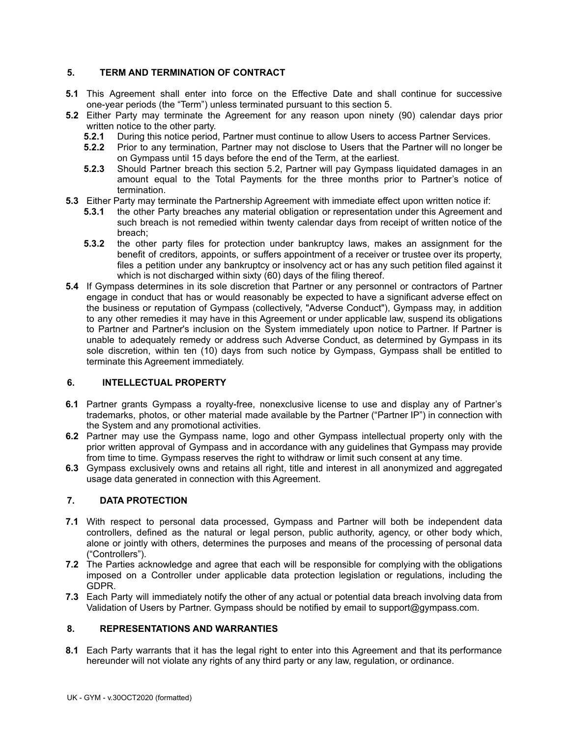## **5. TERM AND TERMINATION OF CONTRACT**

- **5.1** This Agreement shall enter into force on the Effective Date and shall continue for successive one-year periods (the "Term") unless terminated pursuant to this section 5.
- **5.2** Either Party may terminate the Agreement for any reason upon ninety (90) calendar days prior written notice to the other party.<br>5.2.1 During this notice period.
	- **5.2.1** During this notice period, Partner must continue to allow Users to access Partner Services.
	- **5.2.2** Prior to any termination, Partner may not disclose to Users that the Partner will no longer be on Gympass until 15 days before the end of the Term, at the earliest.
	- **5.2.3** Should Partner breach this section 5.2, Partner will pay Gympass liquidated damages in an amount equal to the Total Payments for the three months prior to Partner's notice of termination.
- **5.3** Either Party may terminate the Partnership Agreement with immediate effect upon written notice if:
	- **5.3.1** the other Party breaches any material obligation or representation under this Agreement and such breach is not remedied within twenty calendar days from receipt of written notice of the breach;
	- **5.3.2** the other party files for protection under bankruptcy laws, makes an assignment for the benefit of creditors, appoints, or suffers appointment of a receiver or trustee over its property, files a petition under any bankruptcy or insolvency act or has any such petition filed against it which is not discharged within sixty (60) days of the filing thereof.
- **5.4** If Gympass determines in its sole discretion that Partner or any personnel or contractors of Partner engage in conduct that has or would reasonably be expected to have a significant adverse effect on the business or reputation of Gympass (collectively, "Adverse Conduct"), Gympass may, in addition to any other remedies it may have in this Agreement or under applicable law, suspend its obligations to Partner and Partner's inclusion on the System immediately upon notice to Partner. If Partner is unable to adequately remedy or address such Adverse Conduct, as determined by Gympass in its sole discretion, within ten (10) days from such notice by Gympass, Gympass shall be entitled to terminate this Agreement immediately.

## **6. INTELLECTUAL PROPERTY**

- **6.1** Partner grants Gympass a royalty-free, nonexclusive license to use and display any of Partner's trademarks, photos, or other material made available by the Partner ("Partner IP") in connection with the System and any promotional activities.
- **6.2** Partner may use the Gympass name, logo and other Gympass intellectual property only with the prior written approval of Gympass and in accordance with any guidelines that Gympass may provide from time to time. Gympass reserves the right to withdraw or limit such consent at any time.
- **6.3** Gympass exclusively owns and retains all right, title and interest in all anonymized and aggregated usage data generated in connection with this Agreement.

## **7. DATA PROTECTION**

- **7.1** With respect to personal data processed, Gympass and Partner will both be independent data controllers, defined as the natural or legal person, public authority, agency, or other body which, alone or jointly with others, determines the purposes and means of the processing of personal data ("Controllers").
- **7.2** The Parties acknowledge and agree that each will be responsible for complying with the obligations imposed on a Controller under applicable data protection legislation or regulations, including the GDPR.
- **7.3** Each Party will immediately notify the other of any actual or potential data breach involving data from Validation of Users by Partner. Gympass should be notified by email to support@gympass.com.

## **8. REPRESENTATIONS AND WARRANTIES**

**8.1** Each Party warrants that it has the legal right to enter into this Agreement and that its performance hereunder will not violate any rights of any third party or any law, regulation, or ordinance.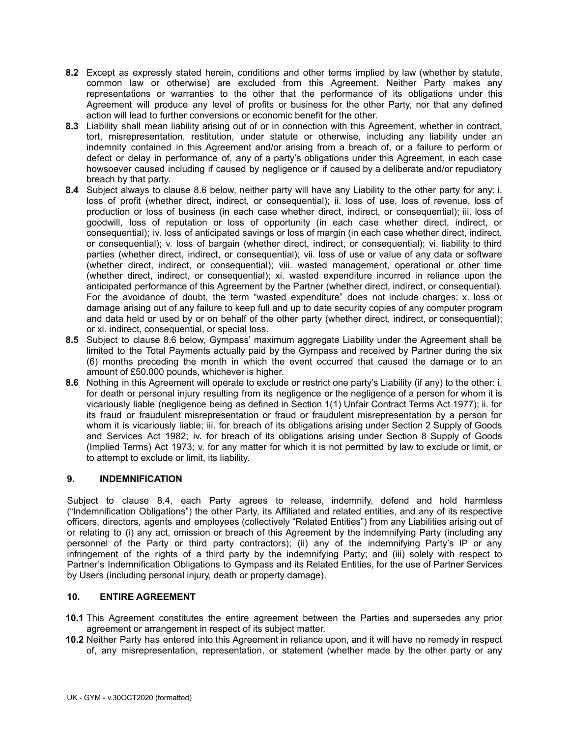- **8.2** Except as expressly stated herein, conditions and other terms implied by law (whether by statute, common law or otherwise) are excluded from this Agreement. Neither Party makes any representations or warranties to the other that the performance of its obligations under this Agreement will produce any level of profits or business for the other Party, nor that any defined action will lead to further conversions or economic benefit for the other.
- **8.3** Liability shall mean liability arising out of or in connection with this Agreement, whether in contract, tort, misrepresentation, restitution, under statute or otherwise, including any liability under an indemnity contained in this Agreement and/or arising from a breach of, or a failure to perform or defect or delay in performance of, any of a party's obligations under this Agreement, in each case howsoever caused including if caused by negligence or if caused by a deliberate and/or repudiatory breach by that party.
- **8.4** Subject always to clause 8.6 below, neither party will have any Liability to the other party for any: i. loss of profit (whether direct, indirect, or consequential); ii. loss of use, loss of revenue, loss of production or loss of business (in each case whether direct, indirect, or consequential); iii. loss of goodwill, loss of reputation or loss of opportunity (in each case whether direct, indirect, or consequential); iv. loss of anticipated savings or loss of margin (in each case whether direct, indirect, or consequential); v. loss of bargain (whether direct, indirect, or consequential); vi. liability to third parties (whether direct, indirect, or consequential); vii. loss of use or value of any data or software (whether direct, indirect, or consequential); viii. wasted management, operational or other time (whether direct, indirect, or consequential); xi. wasted expenditure incurred in reliance upon the anticipated performance of this Agreement by the Partner (whether direct, indirect, or consequential). For the avoidance of doubt, the term "wasted expenditure" does not include charges; x. loss or damage arising out of any failure to keep full and up to date security copies of any computer program and data held or used by or on behalf of the other party (whether direct, indirect, or consequential); or xi. indirect, consequential, or special loss.
- **8.5** Subject to clause 8.6 below, Gympass' maximum aggregate Liability under the Agreement shall be limited to the Total Payments actually paid by the Gympass and received by Partner during the six (6) months preceding the month in which the event occurred that caused the damage or to an amount of £50.000 pounds, whichever is higher.
- **8.6** Nothing in this Agreement will operate to exclude or restrict one party's Liability (if any) to the other: i. for death or personal injury resulting from its negligence or the negligence of a person for whom it is vicariously liable (negligence being as defined in Section 1(1) Unfair Contract Terms Act 1977); ii. for its fraud or fraudulent misrepresentation or fraud or fraudulent misrepresentation by a person for whom it is vicariously liable; iii. for breach of its obligations arising under Section 2 Supply of Goods and Services Act 1982; iv. for breach of its obligations arising under Section 8 Supply of Goods (Implied Terms) Act 1973; v. for any matter for which it is not permitted by law to exclude or limit, or to attempt to exclude or limit, its liability.

## **9. INDEMNIFICATION**

Subject to clause 8.4, each Party agrees to release, indemnify, defend and hold harmless ("Indemnification Obligations") the other Party, its Affiliated and related entities, and any of its respective officers, directors, agents and employees (collectively "Related Entities") from any Liabilities arising out of or relating to (i) any act, omission or breach of this Agreement by the indemnifying Party (including any personnel of the Party or third party contractors); (ii) any of the indemnifying Party's IP or any infringement of the rights of a third party by the indemnifying Party; and (iii) solely with respect to Partner's Indemnification Obligations to Gympass and its Related Entities, for the use of Partner Services by Users (including personal injury, death or property damage).

#### **10. ENTIRE AGREEMENT**

- **10.1** This Agreement constitutes the entire agreement between the Parties and supersedes any prior agreement or arrangement in respect of its subject matter.
- **10.2** Neither Party has entered into this Agreement in reliance upon, and it will have no remedy in respect of, any misrepresentation, representation, or statement (whether made by the other party or any